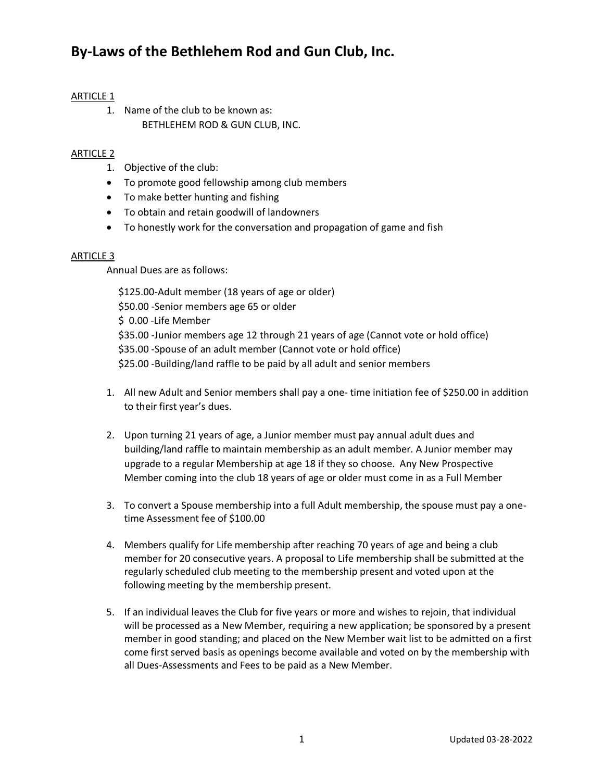# ARTICLE 1

1. Name of the club to be known as: BETHLEHEM ROD & GUN CLUB, INC.

# ARTICLE 2

- 1. Objective of the club:
- To promote good fellowship among club members
- To make better hunting and fishing
- To obtain and retain goodwill of landowners
- To honestly work for the conversation and propagation of game and fish

## ARTICLE 3

Annual Dues are as follows:

 \$125.00-Adult member (18 years of age or older) \$50.00 -Senior members age 65 or older \$ 0.00 -Life Member \$35.00 -Junior members age 12 through 21 years of age (Cannot vote or hold office) \$35.00 -Spouse of an adult member (Cannot vote or hold office) \$25.00 -Building/land raffle to be paid by all adult and senior members

- 1. All new Adult and Senior members shall pay a one- time initiation fee of \$250.00 in addition to their first year's dues.
- 2. Upon turning 21 years of age, a Junior member must pay annual adult dues and building/land raffle to maintain membership as an adult member. A Junior member may upgrade to a regular Membership at age 18 if they so choose. Any New Prospective Member coming into the club 18 years of age or older must come in as a Full Member
- 3. To convert a Spouse membership into a full Adult membership, the spouse must pay a onetime Assessment fee of \$100.00
- 4. Members qualify for Life membership after reaching 70 years of age and being a club member for 20 consecutive years. A proposal to Life membership shall be submitted at the regularly scheduled club meeting to the membership present and voted upon at the following meeting by the membership present.
- 5. If an individual leaves the Club for five years or more and wishes to rejoin, that individual will be processed as a New Member, requiring a new application; be sponsored by a present member in good standing; and placed on the New Member wait list to be admitted on a first come first served basis as openings become available and voted on by the membership with all Dues-Assessments and Fees to be paid as a New Member.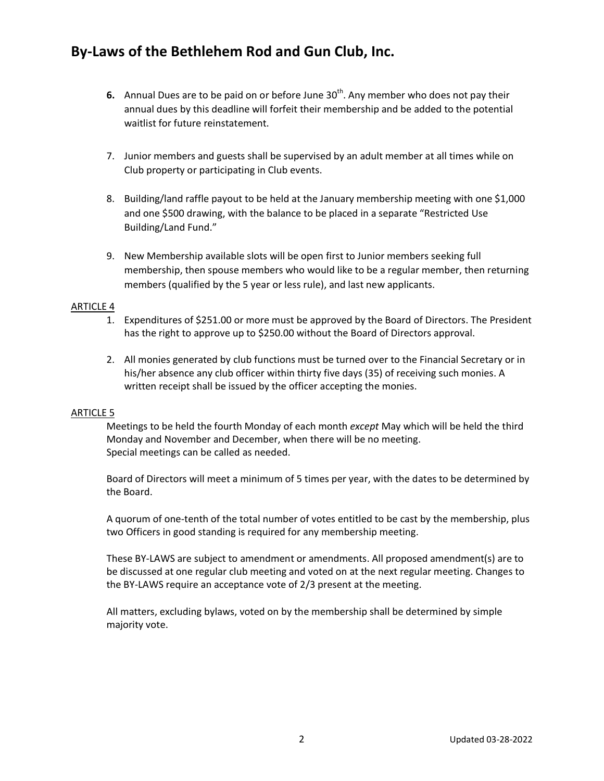- **6.** Annual Dues are to be paid on or before June 30<sup>th</sup>. Any member who does not pay their annual dues by this deadline will forfeit their membership and be added to the potential waitlist for future reinstatement.
- 7. Junior members and guests shall be supervised by an adult member at all times while on Club property or participating in Club events.
- 8. Building/land raffle payout to be held at the January membership meeting with one \$1,000 and one \$500 drawing, with the balance to be placed in a separate "Restricted Use Building/Land Fund."
- 9. New Membership available slots will be open first to Junior members seeking full membership, then spouse members who would like to be a regular member, then returning members (qualified by the 5 year or less rule), and last new applicants.

## ARTICLE 4

- 1. Expenditures of \$251.00 or more must be approved by the Board of Directors. The President has the right to approve up to \$250.00 without the Board of Directors approval.
- 2. All monies generated by club functions must be turned over to the Financial Secretary or in his/her absence any club officer within thirty five days (35) of receiving such monies. A written receipt shall be issued by the officer accepting the monies.

### ARTICLE 5

Meetings to be held the fourth Monday of each month *except* May which will be held the third Monday and November and December, when there will be no meeting. Special meetings can be called as needed.

Board of Directors will meet a minimum of 5 times per year, with the dates to be determined by the Board.

A quorum of one-tenth of the total number of votes entitled to be cast by the membership, plus two Officers in good standing is required for any membership meeting.

These BY-LAWS are subject to amendment or amendments. All proposed amendment(s) are to be discussed at one regular club meeting and voted on at the next regular meeting. Changes to the BY-LAWS require an acceptance vote of 2/3 present at the meeting.

All matters, excluding bylaws, voted on by the membership shall be determined by simple majority vote.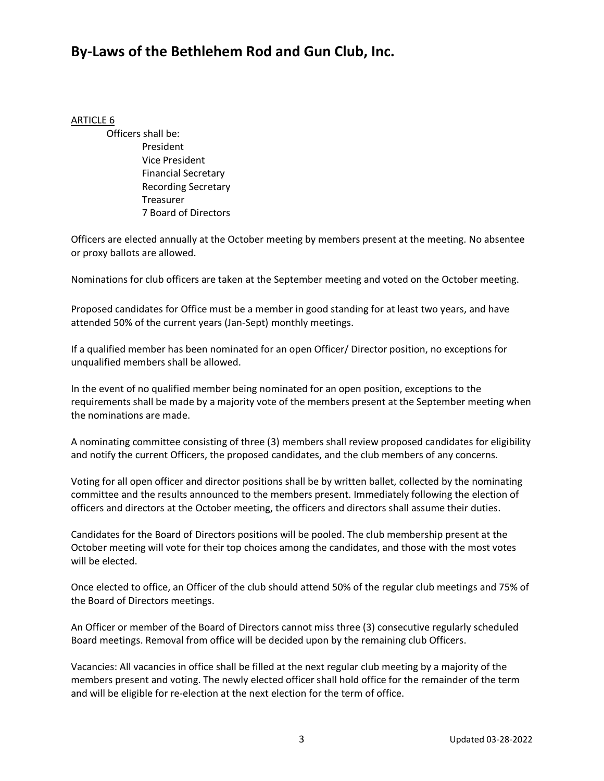## ARTICLE 6

Officers shall be: President Vice President Financial Secretary Recording Secretary **Treasurer** 7 Board of Directors

Officers are elected annually at the October meeting by members present at the meeting. No absentee or proxy ballots are allowed.

Nominations for club officers are taken at the September meeting and voted on the October meeting.

Proposed candidates for Office must be a member in good standing for at least two years, and have attended 50% of the current years (Jan-Sept) monthly meetings.

If a qualified member has been nominated for an open Officer/ Director position, no exceptions for unqualified members shall be allowed.

In the event of no qualified member being nominated for an open position, exceptions to the requirements shall be made by a majority vote of the members present at the September meeting when the nominations are made.

A nominating committee consisting of three (3) members shall review proposed candidates for eligibility and notify the current Officers, the proposed candidates, and the club members of any concerns.

Voting for all open officer and director positions shall be by written ballet, collected by the nominating committee and the results announced to the members present. Immediately following the election of officers and directors at the October meeting, the officers and directors shall assume their duties.

Candidates for the Board of Directors positions will be pooled. The club membership present at the October meeting will vote for their top choices among the candidates, and those with the most votes will be elected.

Once elected to office, an Officer of the club should attend 50% of the regular club meetings and 75% of the Board of Directors meetings.

An Officer or member of the Board of Directors cannot miss three (3) consecutive regularly scheduled Board meetings. Removal from office will be decided upon by the remaining club Officers.

Vacancies: All vacancies in office shall be filled at the next regular club meeting by a majority of the members present and voting. The newly elected officer shall hold office for the remainder of the term and will be eligible for re-election at the next election for the term of office.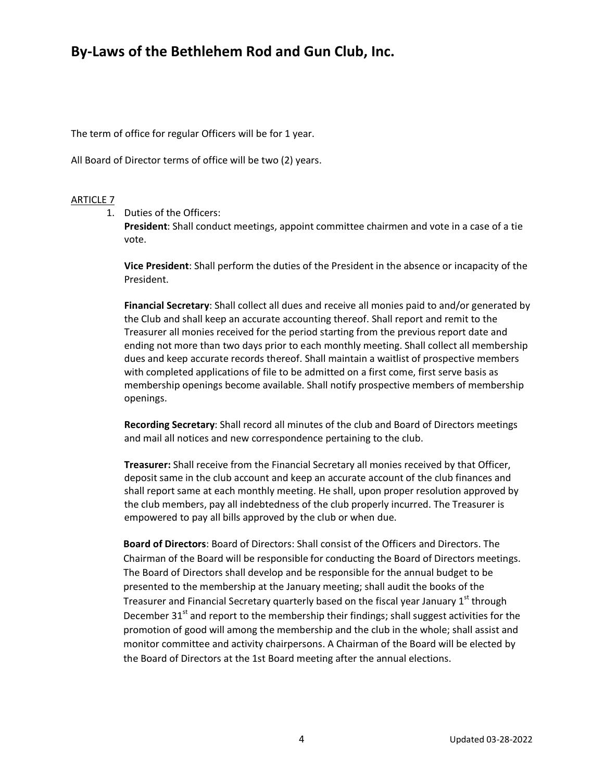The term of office for regular Officers will be for 1 year.

All Board of Director terms of office will be two (2) years.

## ARTICLE 7

1. Duties of the Officers:

**President**: Shall conduct meetings, appoint committee chairmen and vote in a case of a tie vote.

**Vice President**: Shall perform the duties of the President in the absence or incapacity of the President.

**Financial Secretary**: Shall collect all dues and receive all monies paid to and/or generated by the Club and shall keep an accurate accounting thereof. Shall report and remit to the Treasurer all monies received for the period starting from the previous report date and ending not more than two days prior to each monthly meeting. Shall collect all membership dues and keep accurate records thereof. Shall maintain a waitlist of prospective members with completed applications of file to be admitted on a first come, first serve basis as membership openings become available. Shall notify prospective members of membership openings.

**Recording Secretary**: Shall record all minutes of the club and Board of Directors meetings and mail all notices and new correspondence pertaining to the club.

**Treasurer:** Shall receive from the Financial Secretary all monies received by that Officer, deposit same in the club account and keep an accurate account of the club finances and shall report same at each monthly meeting. He shall, upon proper resolution approved by the club members, pay all indebtedness of the club properly incurred. The Treasurer is empowered to pay all bills approved by the club or when due.

 **Board of Directors**: Board of Directors: Shall consist of the Officers and Directors. The Chairman of the Board will be responsible for conducting the Board of Directors meetings. The Board of Directors shall develop and be responsible for the annual budget to be presented to the membership at the January meeting; shall audit the books of the Treasurer and Financial Secretary quarterly based on the fiscal year January  $1<sup>st</sup>$  through December  $31<sup>st</sup>$  and report to the membership their findings; shall suggest activities for the promotion of good will among the membership and the club in the whole; shall assist and monitor committee and activity chairpersons. A Chairman of the Board will be elected by the Board of Directors at the 1st Board meeting after the annual elections.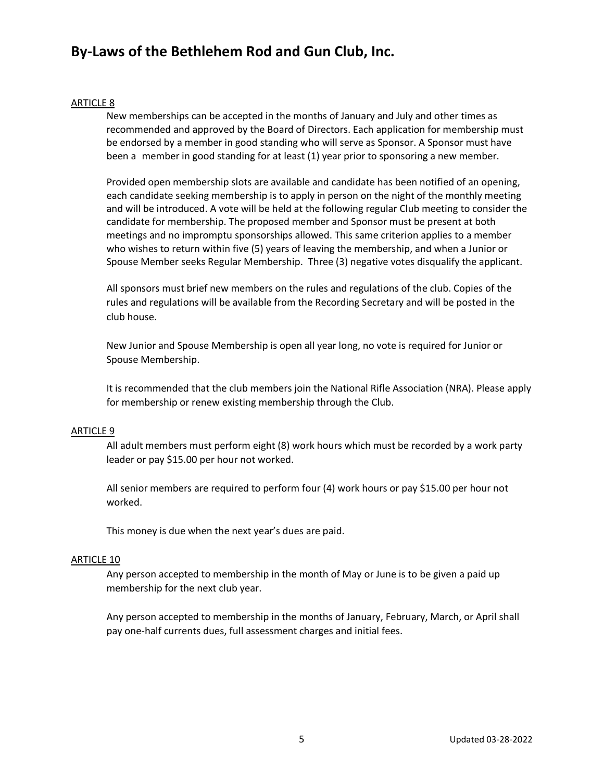### ARTICLE 8

New memberships can be accepted in the months of January and July and other times as recommended and approved by the Board of Directors. Each application for membership must be endorsed by a member in good standing who will serve as Sponsor. A Sponsor must have been a member in good standing for at least (1) year prior to sponsoring a new member.

Provided open membership slots are available and candidate has been notified of an opening, each candidate seeking membership is to apply in person on the night of the monthly meeting and will be introduced. A vote will be held at the following regular Club meeting to consider the candidate for membership. The proposed member and Sponsor must be present at both meetings and no impromptu sponsorships allowed. This same criterion applies to a member who wishes to return within five (5) years of leaving the membership, and when a Junior or Spouse Member seeks Regular Membership. Three (3) negative votes disqualify the applicant.

All sponsors must brief new members on the rules and regulations of the club. Copies of the rules and regulations will be available from the Recording Secretary and will be posted in the club house.

New Junior and Spouse Membership is open all year long, no vote is required for Junior or Spouse Membership.

It is recommended that the club members join the National Rifle Association (NRA). Please apply for membership or renew existing membership through the Club.

### ARTICLE 9

All adult members must perform eight (8) work hours which must be recorded by a work party leader or pay \$15.00 per hour not worked.

All senior members are required to perform four (4) work hours or pay \$15.00 per hour not worked.

This money is due when the next year's dues are paid.

### ARTICLE 10

Any person accepted to membership in the month of May or June is to be given a paid up membership for the next club year.

Any person accepted to membership in the months of January, February, March, or April shall pay one-half currents dues, full assessment charges and initial fees.